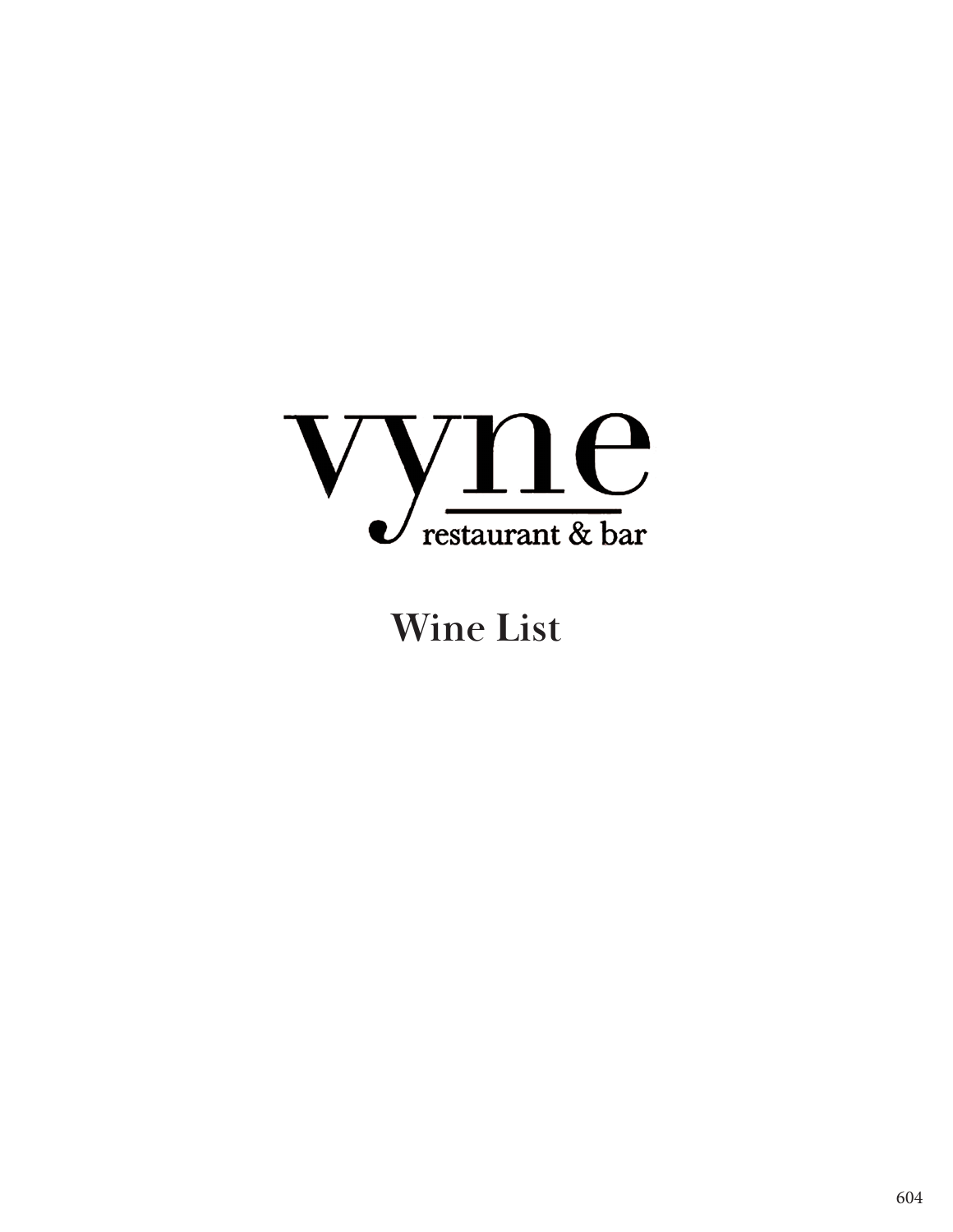

# **Wine List**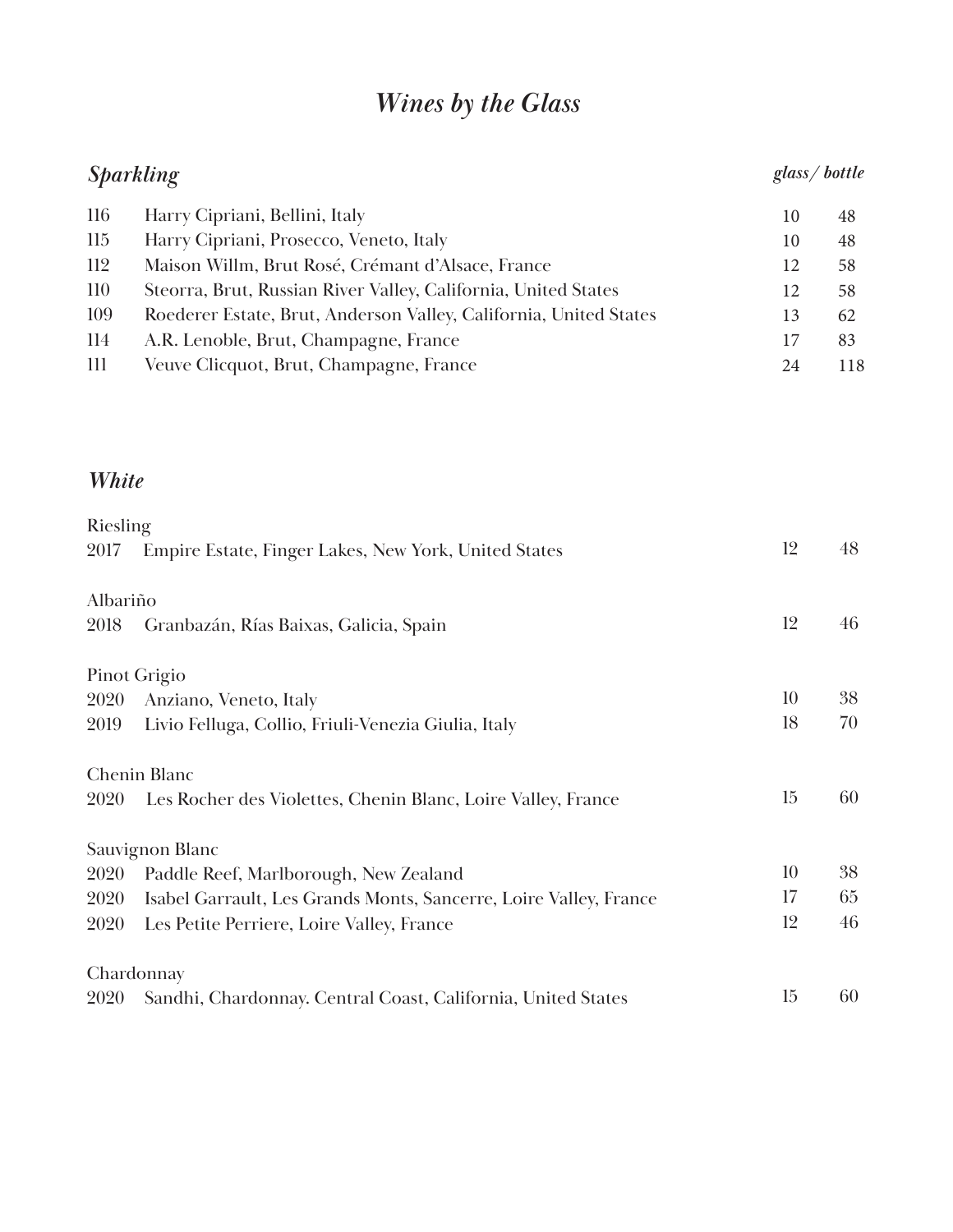# *Wines by the Glass*

| <b>Sparkling</b> |                                                                   |    | glass/bottle |
|------------------|-------------------------------------------------------------------|----|--------------|
| 116              | Harry Cipriani, Bellini, Italy                                    | 10 | 48           |
| 115              | Harry Cipriani, Prosecco, Veneto, Italy                           | 10 | 48           |
| 112              | Maison Willm, Brut Rosé, Crémant d'Alsace, France                 | 12 | 58           |
| 110              | Steorra, Brut, Russian River Valley, California, United States    | 12 | 58           |
| 109              | Roederer Estate, Brut, Anderson Valley, California, United States | 13 | 62           |
| 114              | A.R. Lenoble, Brut, Champagne, France                             | 17 | 83           |
| 111              | Veuve Clicquot, Brut, Champagne, France                           | 24 | 118          |
|                  |                                                                   |    |              |
| <b>White</b>     |                                                                   |    |              |
| Riesling         |                                                                   |    |              |
| 2017             | Empire Estate, Finger Lakes, New York, United States              | 12 | 48           |
| Albariño         |                                                                   |    |              |
| 2018             | Granbazán, Rías Baixas, Galicia, Spain                            | 12 | 46           |
|                  | Pinot Grigio                                                      |    |              |
| 2020             | Anziano, Veneto, Italy                                            | 10 | 38           |
| 2019             | Livio Felluga, Collio, Friuli-Venezia Giulia, Italy               | 18 | 70           |
|                  | <b>Chenin Blanc</b>                                               |    |              |
| 2020             | Les Rocher des Violettes, Chenin Blanc, Loire Valley, France      | 15 | 60           |
|                  | Sauvignon Blanc                                                   |    |              |
| 2020             | Paddle Reef, Marlborough, New Zealand                             | 10 | 38           |
| 2020             | Isabel Garrault, Les Grands Monts, Sancerre, Loire Valley, France | 17 | 65           |
| 2020             | Les Petite Perriere, Loire Valley, France                         | 12 | 46           |
|                  | Chardonnay                                                        |    |              |
| 2020             | Sandhi, Chardonnay. Central Coast, California, United States      | 15 | 60           |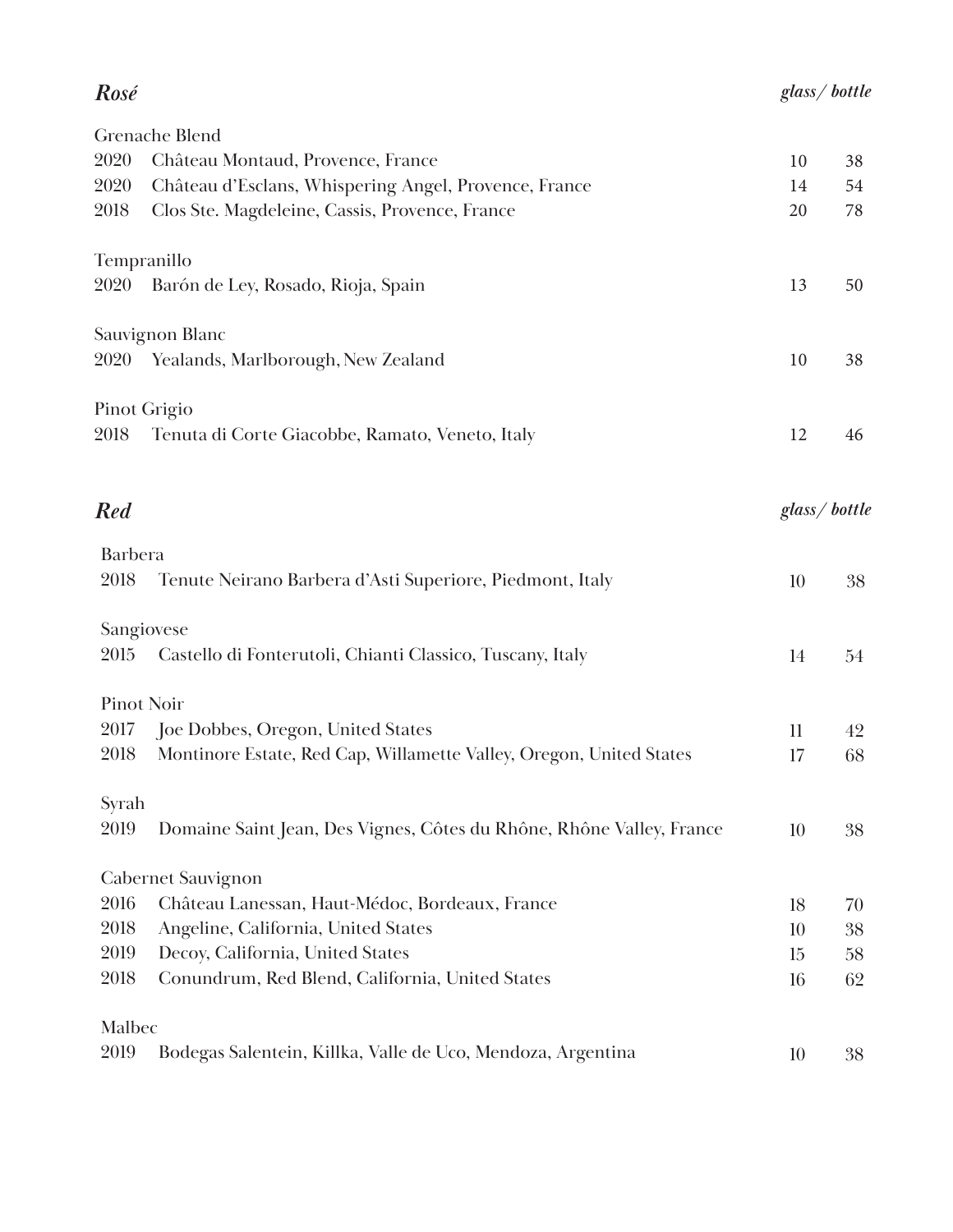## *glass/ bottle*

## *Rosé*

|                   | Grenache Blend                                                       |                 |    |
|-------------------|----------------------------------------------------------------------|-----------------|----|
| 2020              | Château Montaud, Provence, France                                    | 10              | 38 |
| 2020              | Château d'Esclans, Whispering Angel, Provence, France                | 14              | 54 |
| 2018              | Clos Ste. Magdeleine, Cassis, Provence, France                       | 20              | 78 |
| Tempranillo       |                                                                      |                 |    |
| 2020              | Barón de Ley, Rosado, Rioja, Spain                                   | 13              | 50 |
|                   | Sauvignon Blanc                                                      |                 |    |
| 2020              | Yealands, Marlborough, New Zealand                                   | 10              | 38 |
|                   | <b>Pinot Grigio</b>                                                  |                 |    |
| 2018              | Tenuta di Corte Giacobbe, Ramato, Veneto, Italy                      | 12              | 46 |
| <b>Red</b>        |                                                                      | glass/bottle    |    |
| <b>Barbera</b>    |                                                                      |                 |    |
| 2018              | Tenute Neirano Barbera d'Asti Superiore, Piedmont, Italy             | 10              | 38 |
|                   | Sangiovese                                                           |                 |    |
| 2015              | Castello di Fonterutoli, Chianti Classico, Tuscany, Italy            | 14              | 54 |
| <b>Pinot Noir</b> |                                                                      |                 |    |
| 2017              | Joe Dobbes, Oregon, United States                                    | $\mathbf{1}$    | 42 |
| 2018              | Montinore Estate, Red Cap, Willamette Valley, Oregon, United States  | 17              | 68 |
| Syrah             |                                                                      |                 |    |
| 2019              | Domaine Saint Jean, Des Vignes, Côtes du Rhône, Rhône Valley, France | 10              | 38 |
|                   | <b>Cabernet Sauvignon</b>                                            |                 |    |
| 2016              | Château Lanessan, Haut-Médoc, Bordeaux, France                       | 18              | 70 |
| 2018              | Angeline, California, United States                                  | 10              | 38 |
| 2019              | Decoy, California, United States                                     | 15              | 58 |
| 2018              | Conundrum, Red Blend, California, United States                      | 16              | 62 |
| Malbec            |                                                                      |                 |    |
| 2019              | Bodegas Salentein, Killka, Valle de Uco, Mendoza, Argentina          | 10 <sup>°</sup> | 38 |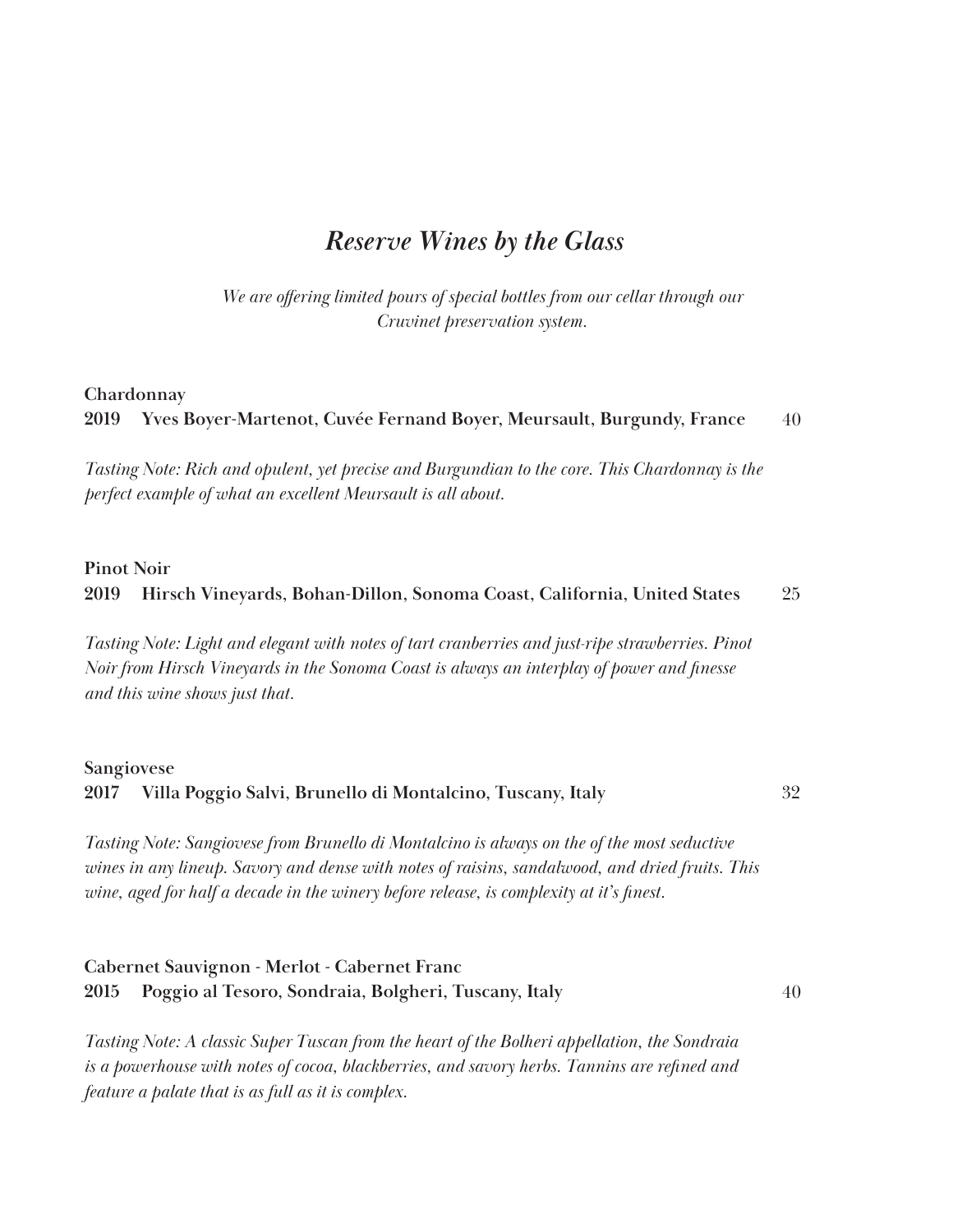#### *Reserve Wines by the Glass*

*We are offering limited pours of special bottles from our cellar through our Cruvinet preservation system.* 

#### **Chardonnay**

**2019 Yves Boyer-Martenot, Cuvée Fernand Boyer, Meursault, Burgundy, France** 40

*Tasting Note: Rich and opulent, yet precise and Burgundian to the core. This Chardonnay is the perfect example of what an excellent Meursault is all about.* 

#### **Pinot Noir**

#### **2019 Hirsch Vineyards, Bohan-Dillon, Sonoma Coast, California, United States** 25

*Tasting Note: Light and elegant with notes of tart cranberries and just-ripe strawberries. Pinot Noir from Hirsch Vineyards in the Sonoma Coast is always an interplay of power and finesse and this wine shows just that.*

#### **Sangiovese 2017 Villa Poggio Salvi, Brunello di Montalcino, Tuscany, Italy** 32

*Tasting Note: Sangiovese from Brunello di Montalcino is always on the of the most seductive wines in any lineup. Savory and dense with notes of raisins, sandalwood, and dried fruits. This wine, aged for half a decade in the winery before release, is complexity at it's finest.*

#### **Cabernet Sauvignon - Merlot - Cabernet Franc 2015 Poggio al Tesoro, Sondraia, Bolgheri, Tuscany, Italy**

40

*Tasting Note: A classic Super Tuscan from the heart of the Bolheri appellation, the Sondraia is a powerhouse with notes of cocoa, blackberries, and savory herbs. Tannins are refined and feature a palate that is as full as it is complex.*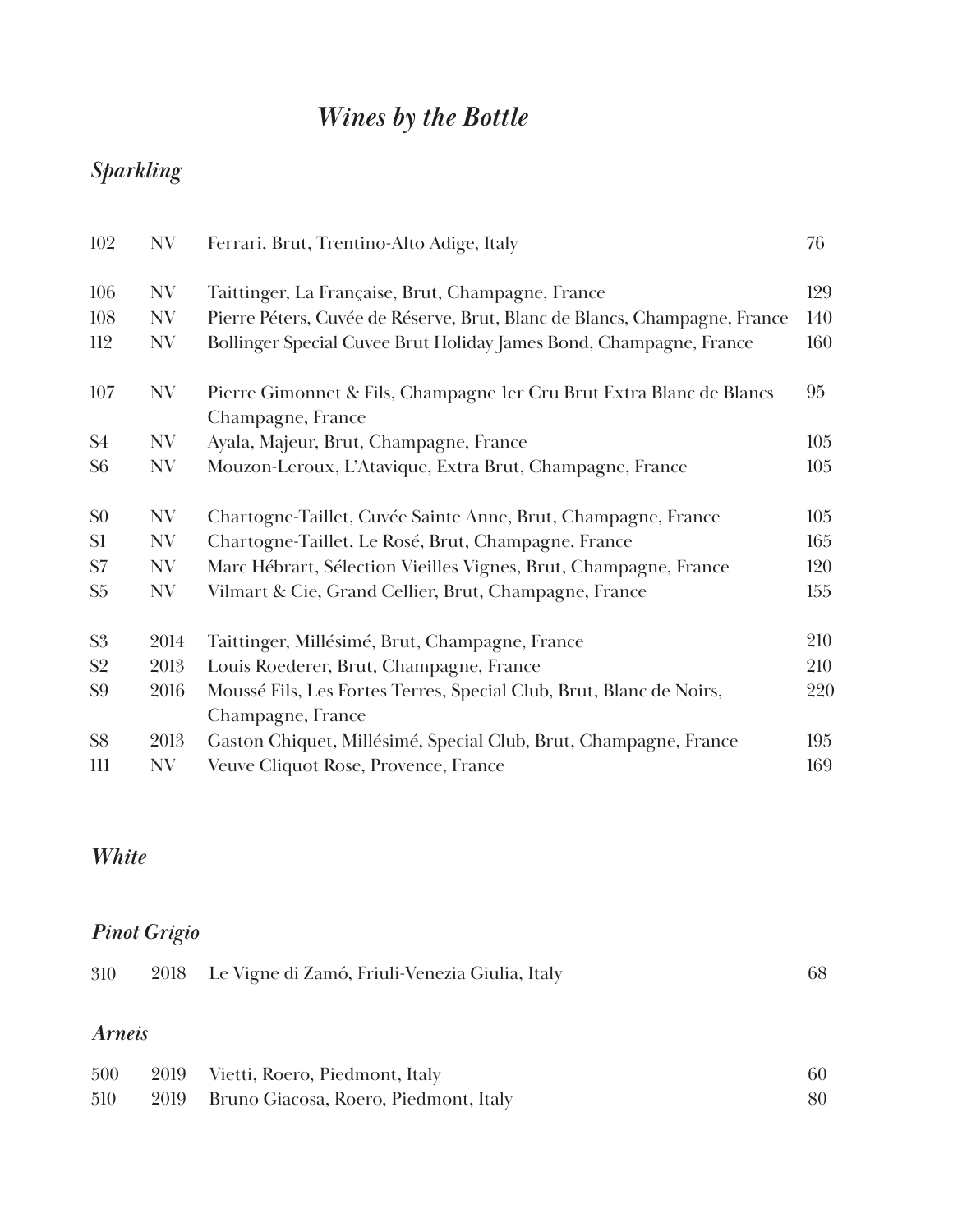# *Wines by the Bottle*

# *Sparkling*

| 102            | NV   | Ferrari, Brut, Trentino-Alto Adige, Italy                                                 | 76  |
|----------------|------|-------------------------------------------------------------------------------------------|-----|
| 106            | NV   | Taittinger, La Française, Brut, Champagne, France                                         | 129 |
| 108            | NV   | Pierre Péters, Cuvée de Réserve, Brut, Blanc de Blancs, Champagne, France                 | 140 |
| 112            | NV   | Bollinger Special Cuvee Brut Holiday James Bond, Champagne, France                        | 160 |
| 107            | NV   | Pierre Gimonnet & Fils, Champagne 1er Cru Brut Extra Blanc de Blancs<br>Champagne, France | 95  |
| S <sub>4</sub> | NV   | Ayala, Majeur, Brut, Champagne, France                                                    | 105 |
| S <sub>6</sub> | NV   | Mouzon-Leroux, L'Atavique, Extra Brut, Champagne, France                                  | 105 |
| S <sub>0</sub> | NV   | Chartogne-Taillet, Cuvée Sainte Anne, Brut, Champagne, France                             | 105 |
| S <sub>1</sub> | NV   | Chartogne-Taillet, Le Rosé, Brut, Champagne, France                                       | 165 |
| S7             | NV   | Marc Hébrart, Sélection Vieilles Vignes, Brut, Champagne, France                          | 120 |
| S <sub>5</sub> | NV   | Vilmart & Cie, Grand Cellier, Brut, Champagne, France                                     | 155 |
| S <sub>3</sub> | 2014 | Taittinger, Millésimé, Brut, Champagne, France                                            | 210 |
| S <sub>2</sub> | 2013 | Louis Roederer, Brut, Champagne, France                                                   | 210 |
| S <sub>9</sub> | 2016 | Moussé Fils, Les Fortes Terres, Special Club, Brut, Blanc de Noirs,<br>Champagne, France  | 220 |
| S <sub>8</sub> | 2013 | Gaston Chiquet, Millésimé, Special Club, Brut, Champagne, France                          | 195 |
| 111            | NV   | Veuve Cliquot Rose, Provence, France                                                      | 169 |

#### *White*

## *Pinot Grigio*

| 310           |      | 2018 Le Vigne di Zamó, Friuli-Venezia Giulia, Italy | 68 |
|---------------|------|-----------------------------------------------------|----|
| <i>Arneis</i> |      |                                                     |    |
| 500           |      | 2019 Vietti, Roero, Piedmont, Italy                 | 60 |
| 510           | 2019 | Bruno Giacosa, Roero, Piedmont, Italy               | 80 |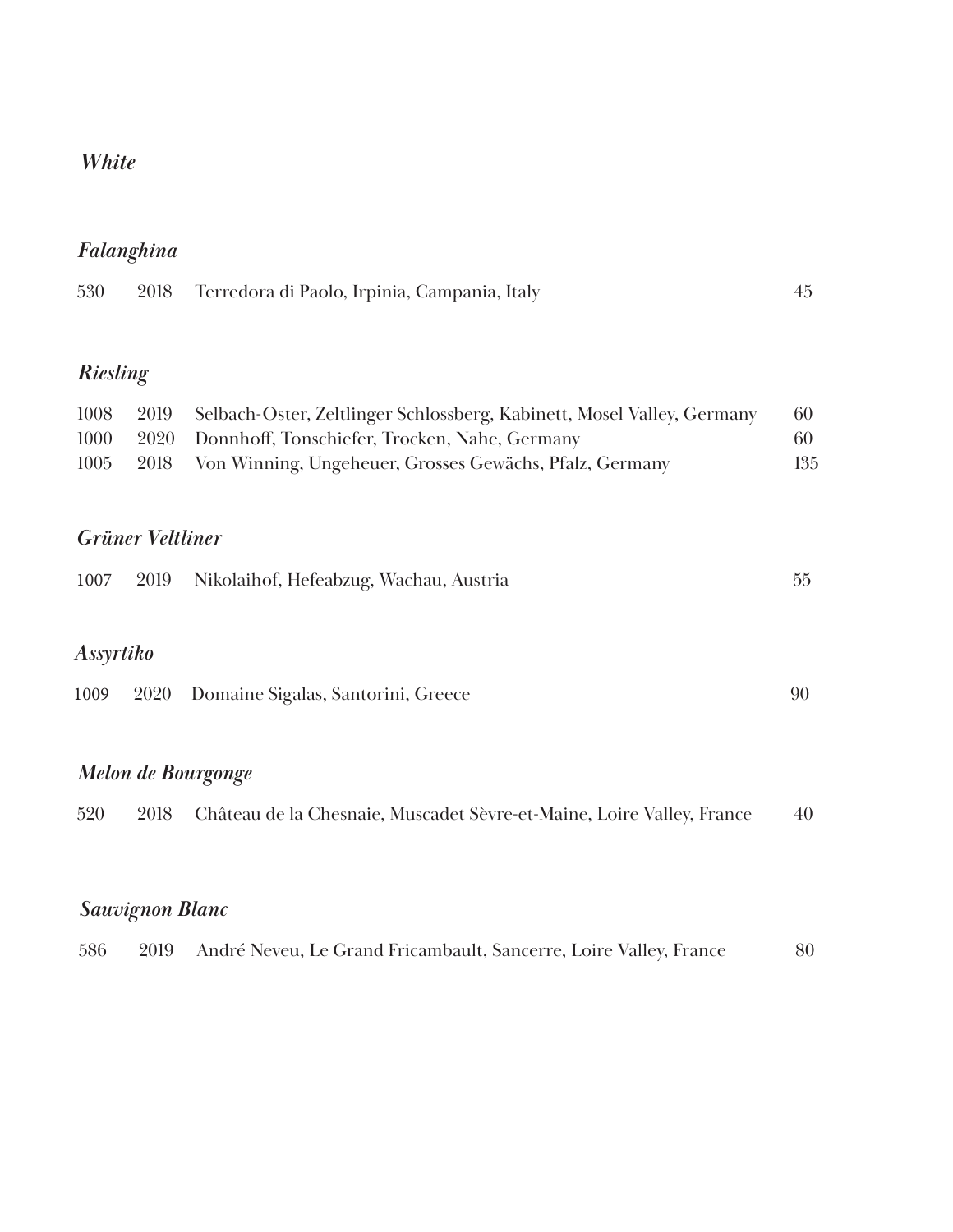#### *White*

# *Falanghina*

| 530 |  | 2018 — Terredora di Paolo, Irpinia, Campania, Italy |  |
|-----|--|-----------------------------------------------------|--|
|-----|--|-----------------------------------------------------|--|

## *Riesling*

| 1008 | 2019 Selbach-Oster, Zeltlinger Schlossberg, Kabinett, Mosel Valley, Germany | 60  |
|------|-----------------------------------------------------------------------------|-----|
| 1000 | 2020 Donnhoff, Tonschiefer, Trocken, Nahe, Germany                          | 60  |
| 1005 | 2018 Von Winning, Ungeheuer, Grosses Gewächs, Pfalz, Germany                | 135 |

#### *Grüner Veltliner*

# *Assyrtiko*

| 1009 |  | 2020 Domaine Sigalas, Santorini, Greece |  |
|------|--|-----------------------------------------|--|
|------|--|-----------------------------------------|--|

# *Melon de Bourgonge*

| 520 |  | 2018 — Château de la Chesnaie, Muscadet Sèvre-et-Maine, Loire Valley, France | 40 |
|-----|--|------------------------------------------------------------------------------|----|
|-----|--|------------------------------------------------------------------------------|----|

# *Sauvignon Blanc*

| 586<br>2019 André Neveu, Le Grand Fricambault, Sancerre, Loire Valley, France |  | 80 |
|-------------------------------------------------------------------------------|--|----|
|-------------------------------------------------------------------------------|--|----|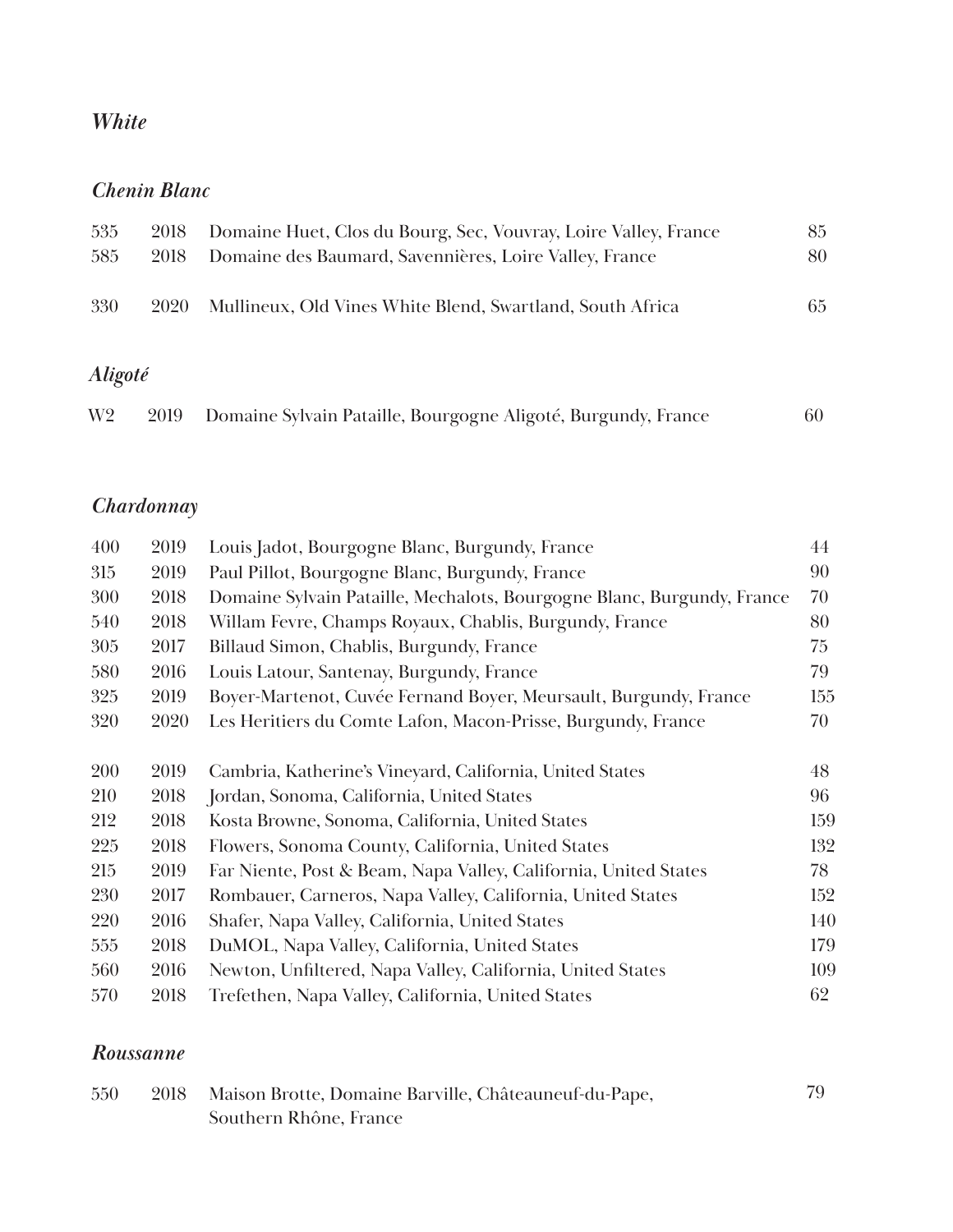#### *White*

#### *Chenin Blanc*

| 535     | 2018 | Domaine Huet, Clos du Bourg, Sec, Vouvray, Loire Valley, France | 85 |
|---------|------|-----------------------------------------------------------------|----|
| 585     | 2018 | Domaine des Baumard, Savennières, Loire Valley, France          | 80 |
| 330     | 2020 | Mullineux, Old Vines White Blend, Swartland, South Africa       | 65 |
|         |      |                                                                 |    |
| Aligoté |      |                                                                 |    |

| W2 | 2019 Domaine Sylvain Pataille, Bourgogne Aligoté, Burgundy, France | 60 |
|----|--------------------------------------------------------------------|----|
|    |                                                                    |    |
|    |                                                                    |    |

## *Chardonnay*

| 400 | 2019 | Louis Jadot, Bourgogne Blanc, Burgundy, France                         | 44  |
|-----|------|------------------------------------------------------------------------|-----|
| 315 | 2019 | Paul Pillot, Bourgogne Blanc, Burgundy, France                         | 90  |
| 300 | 2018 | Domaine Sylvain Pataille, Mechalots, Bourgogne Blanc, Burgundy, France | 70  |
| 540 | 2018 | Willam Fevre, Champs Royaux, Chablis, Burgundy, France                 | 80  |
| 305 | 2017 | Billaud Simon, Chablis, Burgundy, France                               | 75  |
| 580 | 2016 | Louis Latour, Santenay, Burgundy, France                               | 79  |
| 325 | 2019 | Boyer-Martenot, Cuvée Fernand Boyer, Meursault, Burgundy, France       | 155 |
| 320 | 2020 | Les Heritiers du Comte Lafon, Macon-Prisse, Burgundy, France           | 70  |
|     |      |                                                                        |     |
| 200 | 2019 | Cambria, Katherine's Vineyard, California, United States               | 48  |
| 210 | 2018 | Jordan, Sonoma, California, United States                              | 96  |
| 212 | 2018 | Kosta Browne, Sonoma, California, United States                        | 159 |
| 225 | 2018 | Flowers, Sonoma County, California, United States                      | 132 |
| 215 | 2019 | Far Niente, Post & Beam, Napa Valley, California, United States        | 78  |
| 230 | 2017 | Rombauer, Carneros, Napa Valley, California, United States             | 152 |
| 220 | 2016 | Shafer, Napa Valley, California, United States                         | 140 |
| 555 | 2018 | DuMOL, Napa Valley, California, United States                          | 179 |
| 560 | 2016 | Newton, Unfiltered, Napa Valley, California, United States             | 109 |
| 570 | 2018 | Trefethen, Napa Valley, California, United States                      | 62  |

#### *Roussanne*

| 550 | 2018 Maison Brotte, Domaine Barville, Châteauneuf-du-Pape, | 79 |
|-----|------------------------------------------------------------|----|
|     | Southern Rhône, France                                     |    |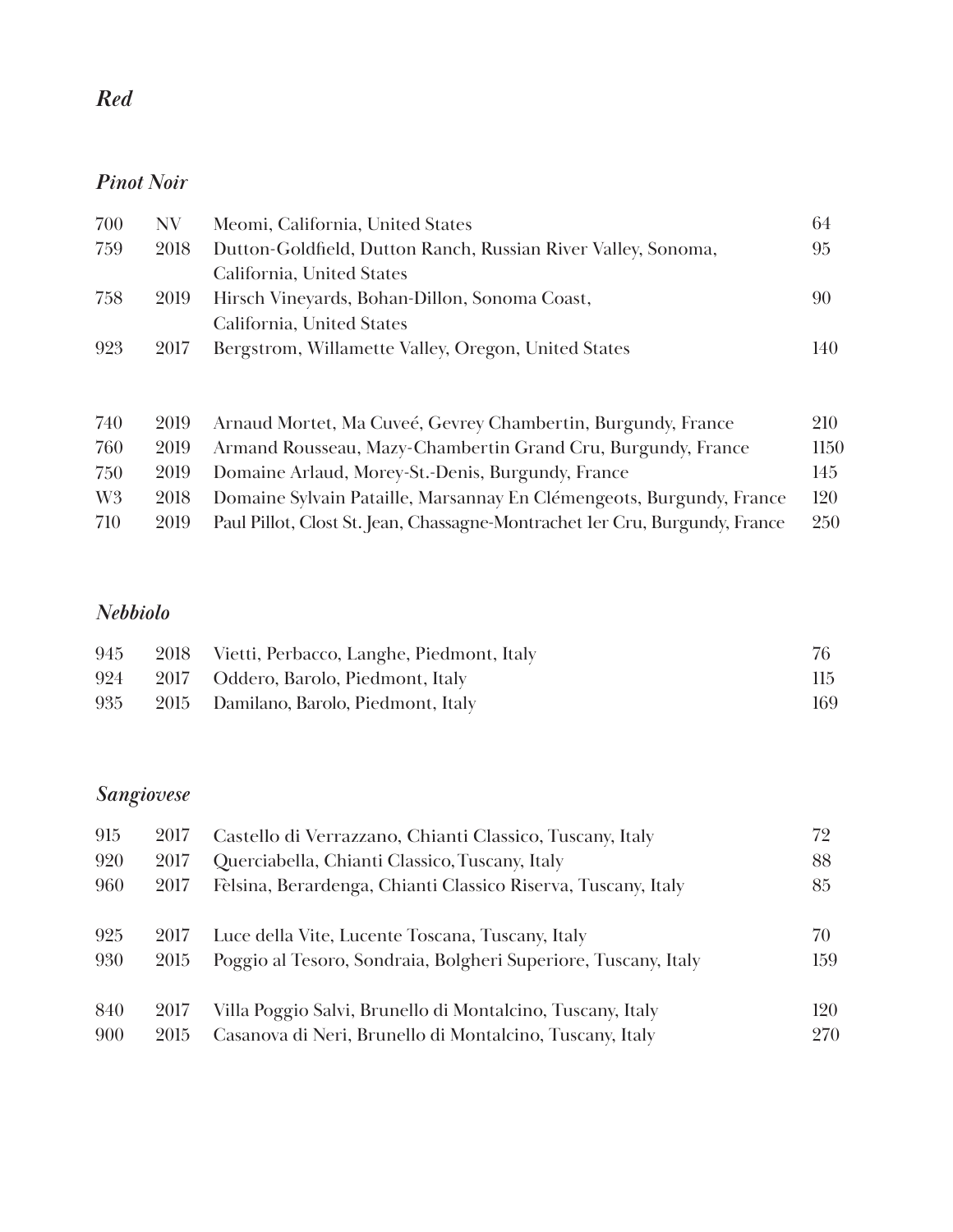### *Pinot Noir*

| 700 | NV.  | Meomi, California, United States                              | 64  |
|-----|------|---------------------------------------------------------------|-----|
| 759 | 2018 | Dutton-Goldfield, Dutton Ranch, Russian River Valley, Sonoma, | 95  |
|     |      | California, United States                                     |     |
| 758 | 2019 | Hirsch Vineyards, Bohan-Dillon, Sonoma Coast,                 | 90  |
|     |      | California, United States                                     |     |
| 923 | 2017 | Bergstrom, Willamette Valley, Oregon, United States           | 140 |
|     |      |                                                               |     |

| 740            | 2019 | Arnaud Mortet, Ma Cuveé, Gevrey Chambertin, Burgundy, France                | 210        |
|----------------|------|-----------------------------------------------------------------------------|------------|
| 760            | 2019 | Armand Rousseau, Mazy-Chambertin Grand Cru, Burgundy, France                | 1150       |
| 750            | 2019 | Domaine Arlaud, Morey-St.-Denis, Burgundy, France                           | 145        |
| W <sub>3</sub> | 2018 | Domaine Sylvain Pataille, Marsannay En Clémengeots, Burgundy, France        | 120        |
| 710            | 2019 | Paul Pillot, Clost St. Jean, Chassagne-Montrachet ler Cru, Burgundy, France | <b>250</b> |

### *Nebbiolo*

| 945 | 2018 Vietti, Perbacco, Langhe, Piedmont, Italy |     |
|-----|------------------------------------------------|-----|
| 924 | 2017 Oddero, Barolo, Piedmont, Italy           | 115 |
| 935 | 2015 Damilano, Barolo, Piedmont, Italy         | 169 |

# *Sangiovese*

| 915 | 2017 | Castello di Verrazzano, Chianti Classico, Tuscany, Italy       | 72  |
|-----|------|----------------------------------------------------------------|-----|
| 920 | 2017 | Querciabella, Chianti Classico, Tuscany, Italy                 | 88  |
| 960 | 2017 | Fèlsina, Berardenga, Chianti Classico Riserva, Tuscany, Italy  | 85  |
| 925 | 2017 | Luce della Vite, Lucente Toscana, Tuscany, Italy               | 70  |
| 930 | 2015 | Poggio al Tesoro, Sondraia, Bolgheri Superiore, Tuscany, Italy | 159 |
| 840 | 2017 | Villa Poggio Salvi, Brunello di Montalcino, Tuscany, Italy     | 120 |
| 900 | 2015 | Casanova di Neri, Brunello di Montalcino, Tuscany, Italy       | 270 |

# *Red*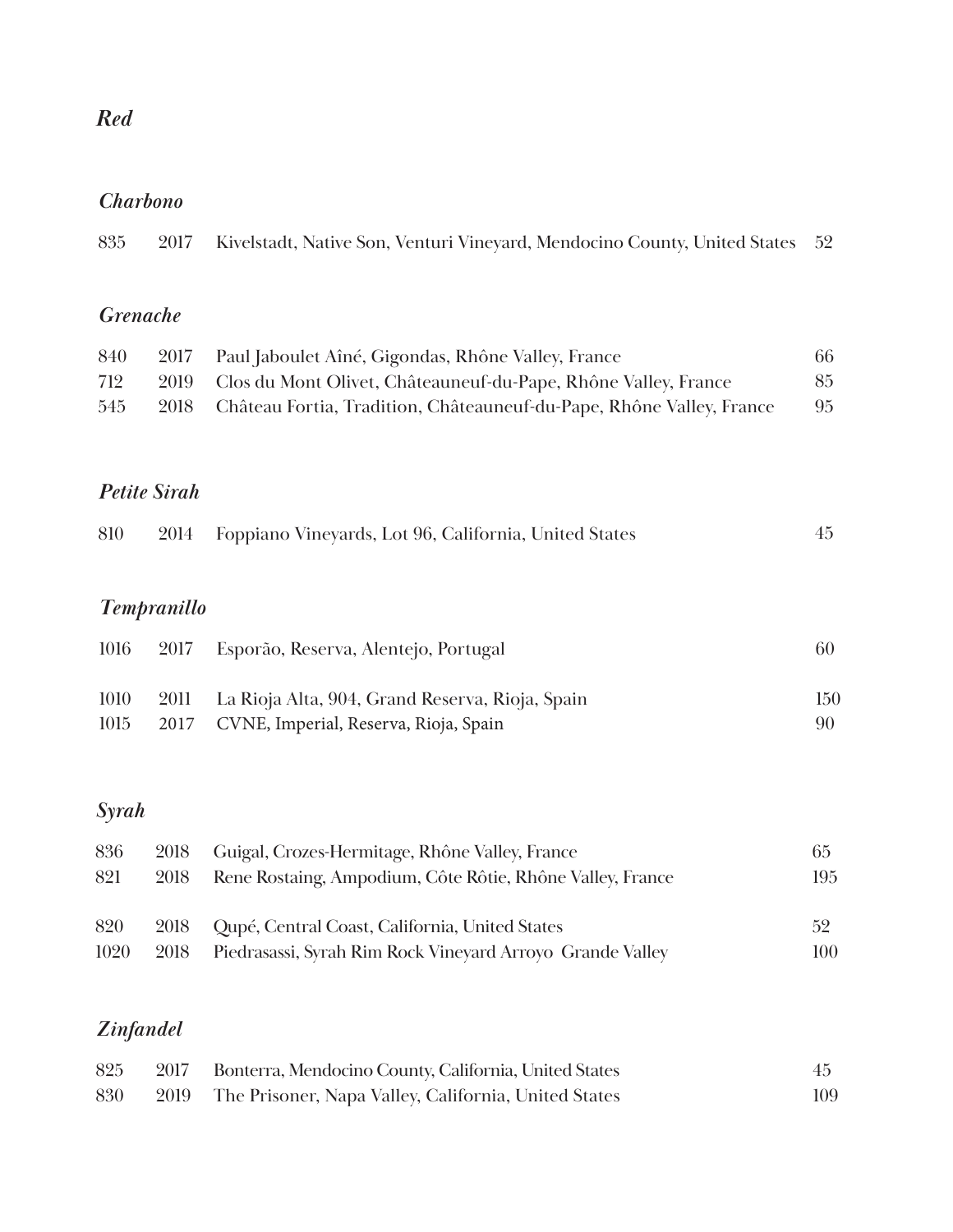# *Red*

### *Charbono*

| 835                    | 2017 | Kivelstadt, Native Son, Venturi Vineyard, Mendocino County, United States | 52 |
|------------------------|------|---------------------------------------------------------------------------|----|
| <i><b>Grenache</b></i> |      |                                                                           |    |
| 840                    | 2017 | Paul Jaboulet Aîné, Gigondas, Rhône Valley, France                        | 66 |
| 712                    | 2019 | Clos du Mont Olivet, Châteauneuf-du-Pape, Rhône Valley, France            | 85 |
| 545                    | 2018 | Château Fortia, Tradition, Châteauneuf-du-Pape, Rhône Valley, France      | 95 |
|                        |      |                                                                           |    |
|                        |      |                                                                           |    |

### *Petite Sirah*

| 810 |  | 2014 Foppiano Vineyards, Lot 96, California, United States |  |  |
|-----|--|------------------------------------------------------------|--|--|
|     |  |                                                            |  |  |

# *Tempranillo*

| 1016 | 2017 Esporão, Reserva, Alentejo, Portugal            | 60   |
|------|------------------------------------------------------|------|
| 1010 | 2011 La Rioja Alta, 904, Grand Reserva, Rioja, Spain | 150  |
| 1015 | 2017 CVNE, Imperial, Reserva, Rioja, Spain           | -90- |

# *Syrah*

| 836  | 2018 | Guigal, Crozes-Hermitage, Rhône Valley, France            | 65  |
|------|------|-----------------------------------------------------------|-----|
| 821  | 2018 | Rene Rostaing, Ampodium, Côte Rôtie, Rhône Valley, France | 195 |
| 820  |      | 2018 Qupé, Central Coast, California, United States       | 52  |
| 1020 | 2018 | Piedrasassi, Syrah Rim Rock Vineyard Arroyo Grande Valley | 100 |

# *Zinfandel*

| 825 | 2017 Bonterra, Mendocino County, California, United States | 45  |
|-----|------------------------------------------------------------|-----|
| 830 | 2019 The Prisoner, Napa Valley, California, United States  | 109 |